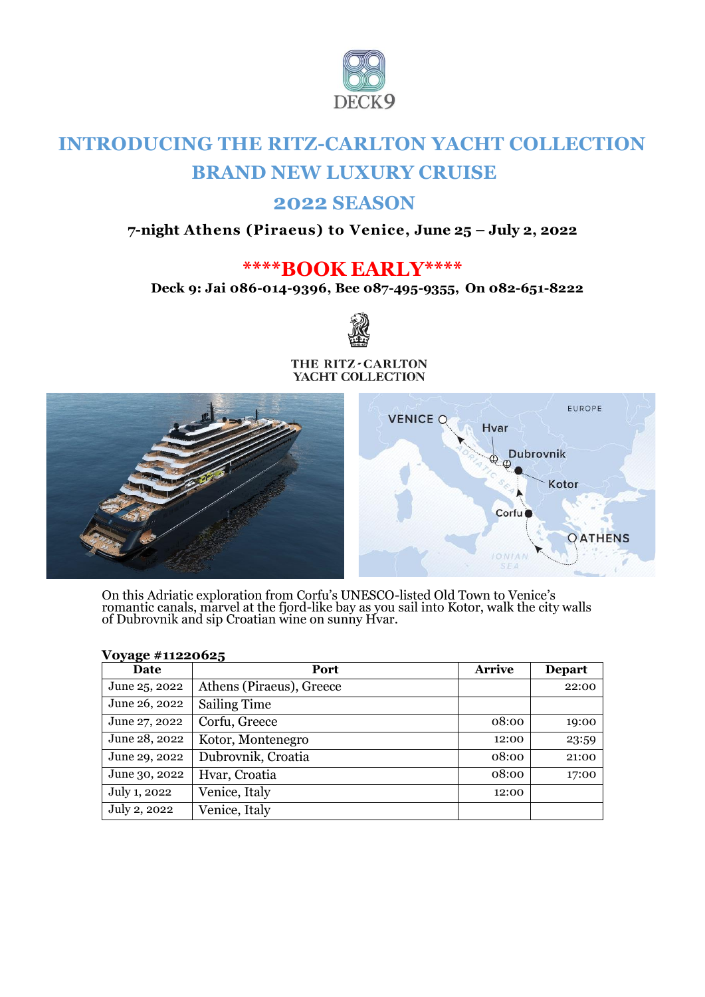

# **INTRODUCING THE RITZ-CARLTON YACHT COLLECTION BRAND NEW LUXURY CRUISE**

## **2022 SEASON**

## **7-night Athens (Piraeus) to Venice, June 25 – July 2, 2022**

## **\*\*\*\*BOOK EARLY\*\*\*\***

**Deck 9: Jai 086-014-9396, Bee 087-495-9355, On 082-651-8222** 



#### THE RITZ-CARLTON YACHT COLLECTION



On this Adriatic exploration from Corfu's UNESCO-listed Old Town to Venice's romantic canals, marvel at the fjord-like bay as you sail into Kotor, walk the city walls of Dubrovnik and sip Croatian wine on sunny Hvar.

| <u>J-8</u> -<br>Date | Port                     | <b>Arrive</b> | <b>Depart</b> |
|----------------------|--------------------------|---------------|---------------|
| June 25, 2022        | Athens (Piraeus), Greece |               | 22:00         |
| June 26, 2022        | <b>Sailing Time</b>      |               |               |
| June 27, 2022        | Corfu, Greece            | 08:00         | 19:00         |
| June 28, 2022        | Kotor, Montenegro        | 12:00         | 23:59         |
| June 29, 2022        | Dubrovnik, Croatia       | 08:00         | 21:00         |
| June 30, 2022        | Hvar, Croatia            | 08:00         | 17:00         |
| July 1, 2022         | Venice, Italy            | 12:00         |               |
| July 2, 2022         | Venice, Italy            |               |               |

### **Voyage #11220625**